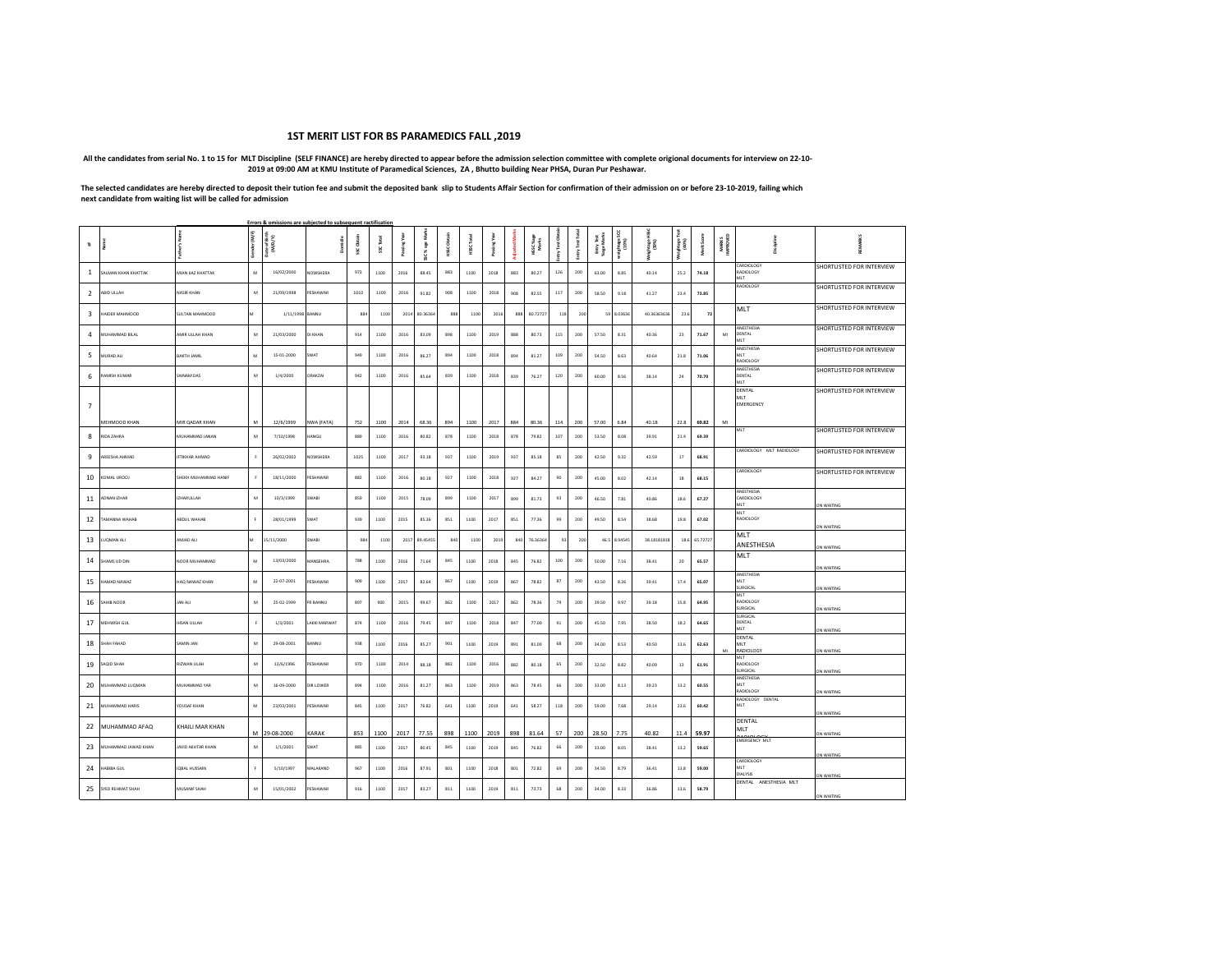## **1ST MERIT LIST FOR BS PARAMEDICS FALL ,2019**

 **All the candidates from serial No. 1 to 15 for MLT Discipline (SELF FINANCE) are hereby directed to appear before the admission selection committee with complete origional documents for interview on 22-10- 2019 at 09:00 AM at KMU Institute of Paramedical Sciences, ZA , Bhutto building Near PHSA, Duran Pur Peshawar.**

**The selected candidates are hereby directed to deposit their tution fee and submit the deposited bank slip to Students Affair Section for confirmation of their admission on or before 23-10-2019, failing which next candidate from waiting list will be called for admission**

|                         | Errors & omissions are subjected to subsequent ractification |                       |                   |                          |                 |            |      |      |          |          |           |      |             |                    |               |                  |                         |                          |                  |          |            |                         |                                       |                           |
|-------------------------|--------------------------------------------------------------|-----------------------|-------------------|--------------------------|-----------------|------------|------|------|----------|----------|-----------|------|-------------|--------------------|---------------|------------------|-------------------------|--------------------------|------------------|----------|------------|-------------------------|---------------------------------------|---------------------------|
| ā.                      |                                                              |                       | (M/F)<br>Gender ( | Date of Birth<br>(M/D/Y) |                 | SSC Obtain | š    |      | š<br>š   | HSSC Obt | š<br>HSSC |      | <b>King</b> | HSSC %age<br>Marks | Entry Test Ob | Entry Test Total | EntryTest<br>%age Marks | š<br>weightage!<br>(10%) | phage 1<br>15 0% | (40%)    | Merit Scor | <b>MARKS</b><br>MPROVED |                                       |                           |
| -1                      | SALMAN KHAN KHATTAK                                          | MIAN UAZ KHATTAK      | M                 | 16/02/2000               | NOWSHERA        | 973        | 1100 | 2016 | 88.45    | 883      | 1100      | 2018 | 883         | 80.27              | 126           | 200              | 63.00                   | 8.85                     | 40.14            | 25.2     | 74.18      |                         | CARDIOLOGY<br>RADIOLOGY<br>MIT.       | SHORTLISTED FOR INTERVIEW |
| $\overline{2}$          | ABID ULLAH                                                   | NASIR KHAN            | ${\mathsf M}$     | 21/09/1998               | PESHAWAR        | 1010       | 1100 | 2016 | 91.82    | 908      | 1100      | 2018 | 908         | 82.55              | 117           | 200              | 58.50                   | 9.18                     | 41.27            | 23.4     | 73.85      |                         | <b>RADIOLOGY</b>                      | SHORTLISTED FOR INTERVIEW |
| $\overline{\mathbf{3}}$ | AIDER MAHMOOD                                                | SULTAN MAHMOOD        | M                 | 1/11/1998                | BANNU           | 884        | 1100 | 2014 | 80.36364 | 888      | 1100      | 2016 | 888         | 80.72727           | 118           | 200              | 5s                      | 8.03636                  | 40.36363636      | 23.6     | $72\,$     |                         | MLT                                   | SHORTLISTED FOR INTERVIEW |
| $\overline{a}$          | MUHAMMAD RILAI                                               | AMIR III I AH KHAN    | M                 | 21/03/2000               | DI KHAN         | 914        | 1100 | 2016 | 83.09    | 898      | 1100      | 2019 | 888         | 80.73              | 115           | 200              | 57.50                   | 8.31                     | 40.36            | 23       | 71.67      | MI                      | ANESTHESIA<br>DENTAL<br>MT.           | SHORTLISTED FOR INTERVIEW |
| 5                       | MURAD ALI                                                    | BAKTH JAMIL           | M                 | 15-01-2000               | SWAT            | 949        | 1100 | 2016 | 86.27    | 894      | 1100      | 2018 | 894         | 81.27              | 109           | 200              | 54.50                   | 8.63                     | 40.64            | 21.8     | 71.06      |                         | ANESTHESIA<br>MLT<br>RADIOLOGY        | SHORTLISTED FOR INTERVIEW |
| 6                       | AMISH KUMAR                                                  | SAINAM DAS            | M                 | 1/4/2000                 | ORAKZA          | 942        | 1100 | 2016 | 85.64    | 839      | 1100      | 2018 | 839         | 76.27              | 120           | 200              | 60.00                   | 8.56                     | 38.14            | $\bf 24$ | 70.70      |                         | ANESTHESIA<br><b>DENTAL</b><br>MLT    | SHORTLISTED FOR INTERVIEW |
| $\overline{7}$          |                                                              |                       |                   |                          |                 |            |      |      |          |          |           |      |             |                    |               |                  |                         |                          |                  |          |            |                         | <b>DENTAL</b><br>MI T<br>EMERGENCY    | SHORTLISTED FOR INTERVIEW |
|                         | MEHMOOD KHAN                                                 | MIR QADAR KHAN        |                   | 12/6/1999                | NWA (FATA)      | 752        | 1100 | 2014 | 68.36    | 894      | 1100      | 2017 | 884         | 80.36              | 114           | 200              | 57.00                   | 6.84                     | 40.18            | 22.8     | 69.82      | MI                      | MLT                                   |                           |
| 8                       | RIDA ZAHRA                                                   | MUHAMMAD JANAN        | M                 | 7/10/1998                | <b>IANGU</b>    | 889        | 1100 | 2016 | 80.82    | 878      | 1100      | 2018 | 878         | 79.82              | 107           | 200              | 53.50                   | 8.08                     | 39.91            | 21.4     | 69.39      |                         |                                       | SHORTLISTED FOR INTERVIEW |
| 9                       | AREESHA AHMAD                                                | <b>IFTIKHAR AHMAD</b> | F                 | 26/02/2002               | NOWSHERA        | 1025       | 1100 | 2017 | 93.18    | 937      | 1100      | 2019 | 937         | 85.18              | 85            | 200              | 42.50                   | 9.32                     | 42.59            | 17       | 68.91      |                         | CARDIOLOGY MLT RADIOLOGY              | SHORTLISTED FOR INTERVIEW |
| 10                      | COMAL UROOJ                                                  | HEKH MUHAMMAD HANIF   |                   | 18/11/2000               | PESHAWAR        | 882        | 1100 | 2016 | 80.18    | 927      | 1100      | 2018 | 927         | 84.27              | $90\,$        | 200              | 45.00                   | 8.02                     | 42.14            | 18       | 68.15      |                         | CARDIOLOGY                            | SHORTLISTED FOR INTERVIEW |
| 11                      | <b>IDNAN IZHAR</b>                                           | ZHARULLAH             | $\overline{M}$    | 10/3/1999                | SWABI           | 859        | 1100 | 2015 | 78.09    | 899      | 1100      | 2017 | 899         | 81.73              | 93            | 200              | 46.50                   | 7.81                     | 40.86            | 18.6     | 67.27      |                         | ANESTHESIA<br>CARDIOLOGY<br>MI T      | ON WAITING                |
| 12                      | AMANNA WAHAB                                                 | ABDUL WAHAB           | F.                | 28/01/1999               | SWAT            | 939        | 1100 | 2015 | 85.36    | 851      | 1100      | 2017 | 851         | 77.36              | 99            | 200              | 49.50                   | 8.54                     | 38.68            | 19.8     | 67.02      |                         | MI T<br>RADIOLOGY                     | ON WAITING                |
| 13                      | UQMAN ALI                                                    | LIA GALMA             | M                 | 15/11/2000               | SWABI           | 984        | 1100 | 2017 | 89.4545  | 840      | 1100      | 2019 | 840         | 76.3636            | 93            | 200              | 46.5                    | 8.94549                  | 38.18181818      | 18.6     | 65.72727   |                         | MLT<br>ANESTHESIA                     | ON WAITING                |
| 14                      | SHAMS UD DIN                                                 | NOOR MUHAMMAD         | M                 | 13/03/2000               | MANSEHRA        | 788        | 1100 | 2016 | 71.64    | 845      | 1100      | 2018 | 845         | 76.82              | 100           | 200              | 50.00                   | 7.16                     | 38.41            | 20       | 65.57      |                         | MLT                                   | ON WAITING                |
| 15                      | AMAD NAWAZ                                                   | HAQ NAWAZ KHAN        | ${\mathsf M}$     | 22-07-2001               | PESHAWAR        | 909        | 1100 | 2017 | 82.64    | 867      | 1100      | 2019 | 867         | 78.82              | $^{\rm 87}$   | 200              | 43.50                   | 8.26                     | 39.41            | 17.4     | 65.07      |                         | <b>ANFSTHESIA</b><br>MI T<br>SURGICAL | ON WAITING                |
| 16                      | AHIR NOOF                                                    | JAN ALI               | M                 | 25-02-1999               | FR RANNIL       | 897        | 900  | 2015 | 99.67    | 862      | 1100      | 2017 | 862         | 78.36              | 79            | 200              | 39.50                   | 9.97                     | 39.18            | 15.8     | 64.95      |                         | MLT<br>RADIOLOGY<br><b>SURGICAL</b>   | ON WAITING                |
| 17                      | MEHWISH GUL                                                  | <b>HSAN ULLAH</b>     | F                 | 1/3/2001                 | LAKKI MARWAT    | 874        | 1100 | 2016 | 79.45    | 847      | 1100      | 2018 | 847         | 77.00              | 91            | 200              | 45.50                   | 7.95                     | 38.50            | 18.2     | 64.65      |                         | SURGICAL<br>DENTAL<br>MLT             | ON WAITING                |
| 18                      | SHAH FAHAD                                                   | SAMIN JAN             | M                 | 29-08-2001               | BANNU           | 938        | 1100 | 2016 | 85.27    | 901      | 1100      | 2019 | 891         | 81.00              | 68            | 200              | 34.00                   | 8.53                     | 40.50            | 13.6     | 62.63      | ML                      | DENTAL<br>MLT<br>RADIOLOGY            | ON WAITING                |
| 19                      | SAQID SHAH                                                   | RIZWAN ULAH           | M                 | 12/6/1996                | <b>PESHAWAR</b> | 970        | 1100 | 2014 | 88.18    | 882      | 1100      | 2016 | 882         | 80.18              | 65            | 200              | 32.50                   | 8.82                     | 40.09            | 13       | 61.91      |                         | MLT<br>RADIOLOGY<br>SURGICAL          | ON WAITING                |
| 20                      | MUHAMMAD LUQMAN                                              | MUHAMMAD YAR          | ${\mathsf M}$     | 16-09-2000               | DIR LOWER       | 894        | 1100 | 2016 | 81.27    | 863      | 1100      | 2019 | 863         | 78.45              | 66            | 200              | 33.00                   | 8.13                     | 39.23            | 13.2     | 60.55      |                         | ANESTHESIA<br>MLT<br>RADIOLOGY        | ON WAITING                |
| 21                      | <b>MUHAMMAD HARIS</b>                                        | YOUSAF KHAN           | M                 | 23/03/2001               | <b>PESHAWAR</b> | 845        | 1100 | 2017 | 76.82    | 641      | 1100      | 2019 | 641         | 58.27              | 118           | 200              | 59.00                   | 7.68                     | 29.14            | 23.6     | 60.42      |                         | RADIOLOGY DENTAL<br>MLT               | ON WAITING                |
| 22                      | MUHAMMAD AFAQ                                                | KHAILI MAR KHAN       |                   | M 29-08-2000             | KARAK           | 853        | 1100 | 2017 | 77.55    | 898      | 1100      | 2019 | 898         | 81.64              | 57            | 200              | 28.50                   | 7.75                     | 40.82            | 11.4     | 59.97      |                         | DENTAL<br><b>MLT</b><br>1.00          | ON WAITING                |
| 23                      | MUHAMMAD JAWAD KHAN                                          | AVID AKHTAR KHAN      | $\overline{M}$    | 1/1/2001                 | SWAT            | 885        | 1100 | 2017 | 80.45    | 845      | 1100      | 2019 | 845         | 76.82              | 66            | 200              | 33.00                   | 8.05                     | 38.41            | 13.2     | 59.65      |                         | <b>EMERGENCY MLT</b>                  | ON WAITING                |
| 24                      | ABIBA GUL                                                    | <b>IOBAL HUSSAIN</b>  | <b>F</b>          | 5/10/1997                | MALAKAND        | 967        | 1100 | 2016 | 87.91    | 801      | 1100      | 2018 | 801         | 72.82              | 69            | 200              | 34.50                   | 8.79                     | 36.41            | 13.8     | 59.00      |                         | CARDIOLOGY<br>MI T<br><b>DIAI YSS</b> | ON WAITING                |
| 25                      | SYED REHMAT SHAH                                             | MUSANIF SHAH          | ${\sf M}$         | 15/01/2002               | PESHAWAR        | 916        | 1100 | 2017 | 83.27    | 811      | 1100      | 2019 | 811         | 73.73              | 68            | 200              | 34.00                   | 8.33                     | 36.86            | 13.6     | 58.79      |                         | DENTAL ANESTHESIA MLT                 | ON WAITING                |